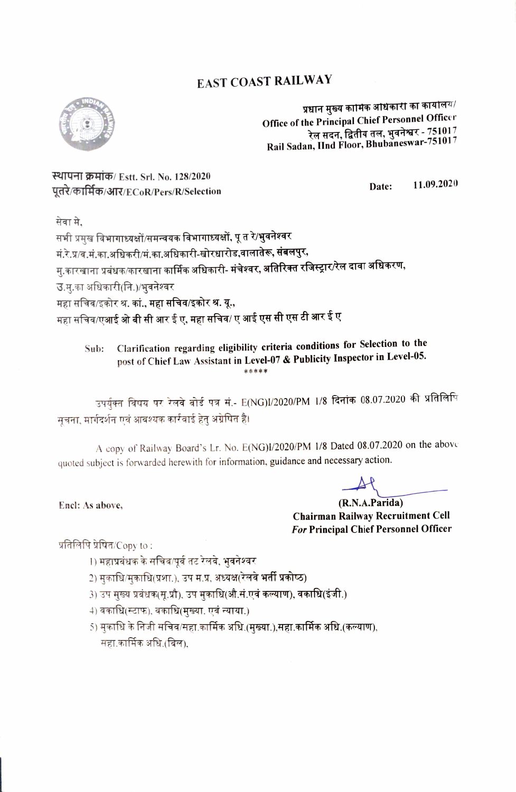## **EAST COAST RAILWAY**



प्रधान मुख्य कामिक आधकारी का कायोलय/ Office of the Principal Chief Personnel Officer रेल सदन, द्वितीय तल, भुवनेश्वर - 751017 Rail Sadan, IInd Floor, Bhubaneswar-751017

स्थापना क्रमांक/ Estt. Srl. No. 128/2020 पूतरे/कार्मिक/आर/ECoR/Pers/R/Selection

11.09.2020 Date:

सेवा मे.

सभी प्रमुख विभागाध्यक्षों/समन्वयक विभागाध्यक्षों, पू त रे/**भुवनेश्वर** मं.रे.प्र/व.मं.का.अधिकरी/मं.का.अधिकारी-खोरधारोड,वालातेरू, <mark>संबलपुर,</mark> मु.कारखाना प्रबंधक/कारखाना कार्मिक अधिकारी- <mark>मंचेश्वर, अतिरिक्त रजिस्ट्रार/रेल दावा अधिकरण,</mark> उ.स.का अधिकारी(नि.)/भूवनेश्वर महा सचिव/इकोर श्र. कां., महा सचिव/इकोर श्र. यू., महा सचिव/एआई <mark>ओ बी सी आर ई ए, महा सचिव/ ए आई एस सी एस टी आर ई ए</mark>

Clarification regarding eligibility criteria conditions for Selection to the Sub: post of Chief Law Assistant in Level-07 & Publicity Inspector in Level-05.

उपर्युक्त विषय पर रेलवे बोर्ड पत्र सं.- E(NG)I/2020/PM 1/8 <mark>दिनांक 08.07.2020 की प्रतिलि</mark>पि सचना, मार्गदर्शन एवं आवश्यक कार्रवाई हेतु अग्रेषित है।

A copy of Railway Board's Lr. No. E(NG)I/2020/PM 1/8 Dated 08.07.2020 on the above quoted subject is forwarded herewith for information, guidance and necessary action.

(R.N.A.Parida) **Chairman Railway Recruitment Cell** For Principal Chief Personnel Officer

प्रतिलिपि प्रेषित/Copy to:

Encl: As above,

- 1) महाप्रबंधक के सचिव/पूर्व तट रेलवे, भुवनेश्वर
- 2) मकाधि/मकाधि(प्रशा.), उप म.प्र, अध्यक्ष(रेलवे भर्ती प्रकोष्ठ)
- 3) उप मुख्य प्रबंधक(सू.प्रौ), उप मुकाधि(औ.सं.एवं कल्याण), वकाधि(इंजी.)
- 4) वकाधि(स्टाफ), वकाधि(मुख्या. एवं न्याया.)
- 5) मुकाधि के निजी सचिव/सहा.कार्मिक अधि.(मुख्या.),स<mark>हा.कार्मिक अधि.(कल्याण),</mark> सहा.कार्मिक अधि.(बिल),